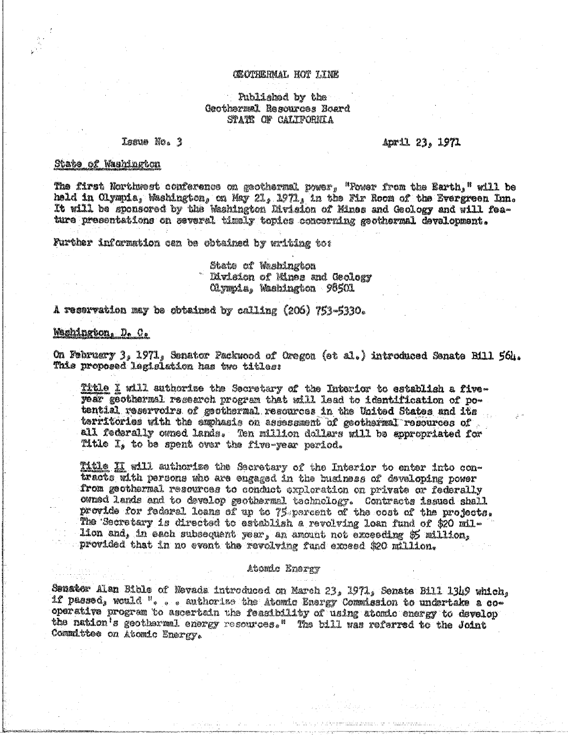#### CEOTHERMAL HOT LINE

# Published by the Geothermal Resources Board STATE OF CALIFORNIA

#### Issue No. 3

#### April 23, 1971

### State of Washington

The first Northwest conference on geothermal power, "Fower from the Earth," will be held in Olympia, Washington, on May 21, 1971, in the Fir Room of the Evergreen Inn. It will be sponsored by the Washington Rivision of Mines and Geology and will feature presentations on several timely topics concerning geothermal development.

Further information can be obtained by writing to:

State of Washington Division of Mines and Geology Olympia, Washington 96501.

A reservation may be obtained by calling (206) 753-5330.

# Mashington, D. C.

On February 3, 1971, Senator Packwood of Oregon (et al.) introduced Senate Bill 564. This proposed legislation has two titles:

Title I will authorize the Secretary of the Interior to establish a fiveyear geothermal research program that will lead to identification of potential reservoirs of geothermal resources in the United States and its territories with the emphasis on assessment of geothermal recources of all federally owned lands. Ten million dollars will be appropriated for Title I, to be spent over the five-year period.

Title II will authorize the Secretary of the Interior to enter into contracts with persons who are engaged in the husiness of developing power from geothermal resources to conduct exploration on private or federally owned lands and to develop geothermal technology. Contracts issued shall provide for federal loans of up to 75 percent of the cost of the projects. The Secretary is directed to establish a revolving loan fund of \$20 million and, in each subsequent year, an amount not exceeding \$5 million, provided that in no event the revolving fund exceed \$20 million.

#### Atomic Energy

Senator Alan Bible of Nevada introduced on March 23, 1971, Senate Bill 1349 which, if passed, would ". . . authorize the Atomic Energy Commission to undertake a cooperative program to ascertain the feasibility of using atomic energy to develop the nation's geothermal energy resources." The bill was referred to the Joint Committee on Atomic Energy.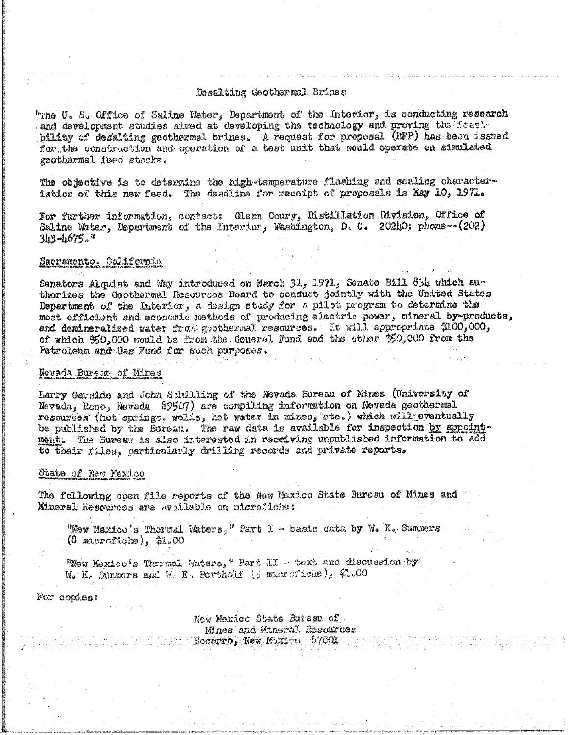## Desalting Geothermal Brines

"The U. S. Office of Saline Water, Department of the Interior, is conducting research and development studies aimed at developing the technology and proving the feasibility of desalting geothermal brines. A request for proposal (RFP) has been issued for the construction and operation of a test unit that would operate on simulated geothermal feed stocks.

The objective is to determine the high-temperature flashing and scaling characteristics of this new feed. The deadline for receipt of proposals is May 10, 1971.

For further information, contact: Glenn Coury, Distillation Division, Office of Saline Water, Department of the Interior, Washington, D. C. 20210; phone --  $(202)$  $3h3 - h675.$  "

### Sacramente, California

Senators Alquist and Way introduced on March 31, 1971, Senate Bill 85h which authorizes the Geothermal Resources Board to conduct jointly with the United States Department of the Interior, a design study for a pilot program to determine the most efficient and economic methods of producing electric power, mineral by-products, and demineralized water from goothermal resources. It will appropriate 2100,000, of which 350,000 would be from the General Fund and the other 350,000 from the Petroleum and Gas Fund for such purposes.

### Nevada Bureau of Mines

Larry Garside and John Schilling of the Nevada Bureau of Mines (University of Nevada, Reno, Nevada 69507) are compiling information on Nevada geothermal rosoures (het springs, wells, het water in mines, etc.) which will eventually be published by the Bureau. The raw data is available for inspection by appeintment. The Bureau is also interested in receiving unpublished information to add to their files, particularly drilling records and private reports.

#### State of New Mexico

The following open file reports of the New Mexico State Bureau of Mines and Mineral Resources are uvailable on microfiche:

"New Mexico's Thermal Waters," Part I - basic data by W. K. Summers  $(8$  macroficke), \$1.00

"New Mexico's Thermal Waters, " Part II - text and discussion by W. K. Summors and W. E. Bertholf (j miarofiche), \$1.00

For copies:

New Maxice State Rureau of Mines and Mineral Resources Socorro, New Marsen  $67801$ .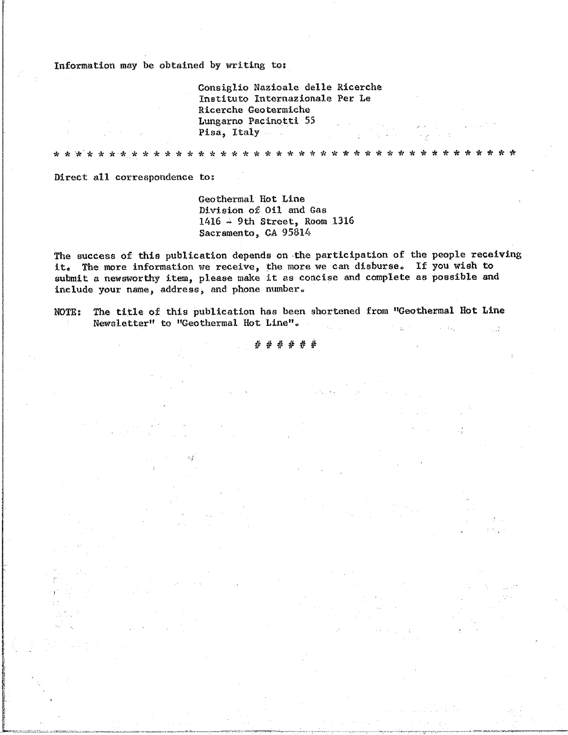Information may be obtained by writing to:

Consiglio Nazioale delle Ricerche Instituto Internazionale Per Le Ricerche Geotermiche Lungarno Pacinotti 55 Pisa, Italy

 $\Delta\sigma$ 

**Signal** عيبه -de

ele.

Direct all correspondence to:

 $\mathcal{H}$ 

Geothermal Hot Line Division of Oil and Gas  $1416$   $\rightarrow$  9th Street, Room 1316 Sacramento, CA 95814

The success of this publication depends on the participation of the people receiving it. The more information we receive, the more we can disburse. If you wish to submit a newsworthy item, please make it as concise and complete as possible and include your name, address, and phone number.

The title of this publication has been shortened from "Geothermal Hot Line **NOTE:** Newsletter" to "Geothermal Hot Line".

\* \* \* \* \* \*